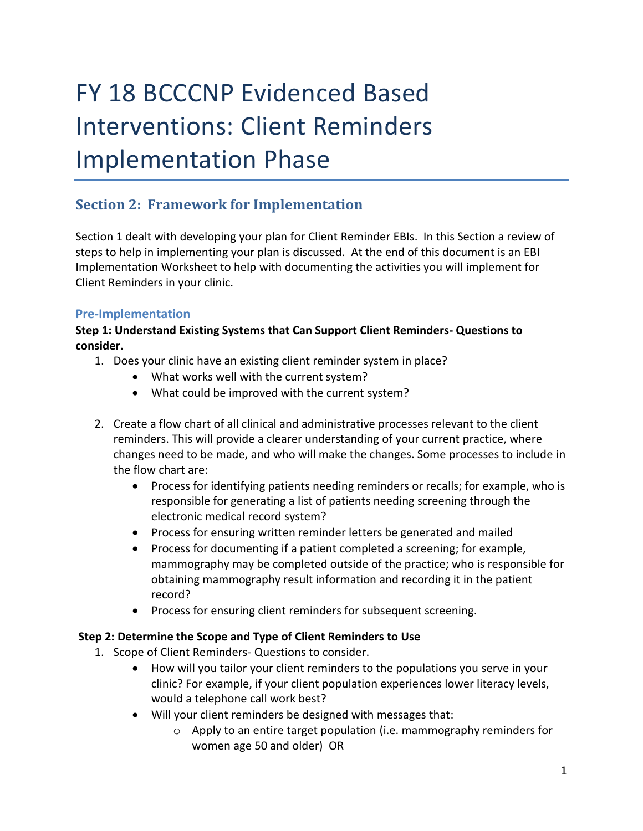# FY 18 BCCCNP Evidenced Based Interventions: Client Reminders Implementation Phase

# **Section 2: Framework for Implementation**

Section 1 dealt with developing your plan for Client Reminder EBIs. In this Section a review of steps to help in implementing your plan is discussed. At the end of this document is an EBI Implementation Worksheet to help with documenting the activities you will implement for Client Reminders in your clinic.

#### **Pre-Implementation**

#### **Step 1: Understand Existing Systems that Can Support Client Reminders- Questions to consider.**

- 1. Does your clinic have an existing client reminder system in place?
	- What works well with the current system?
	- What could be improved with the current system?
- 2. Create a flow chart of all clinical and administrative processes relevant to the client reminders. This will provide a clearer understanding of your current practice, where changes need to be made, and who will make the changes. Some processes to include in the flow chart are:
	- Process for identifying patients needing reminders or recalls; for example, who is responsible for generating a list of patients needing screening through the electronic medical record system?
	- Process for ensuring written reminder letters be generated and mailed
	- Process for documenting if a patient completed a screening; for example, mammography may be completed outside of the practice; who is responsible for obtaining mammography result information and recording it in the patient record?
	- Process for ensuring client reminders for subsequent screening.

#### **Step 2: Determine the Scope and Type of Client Reminders to Use**

- 1. Scope of Client Reminders- Questions to consider.
	- How will you tailor your client reminders to the populations you serve in your clinic? For example, if your client population experiences lower literacy levels, would a telephone call work best?
	- Will your client reminders be designed with messages that:
		- o Apply to an entire target population (i.e. mammography reminders for women age 50 and older) OR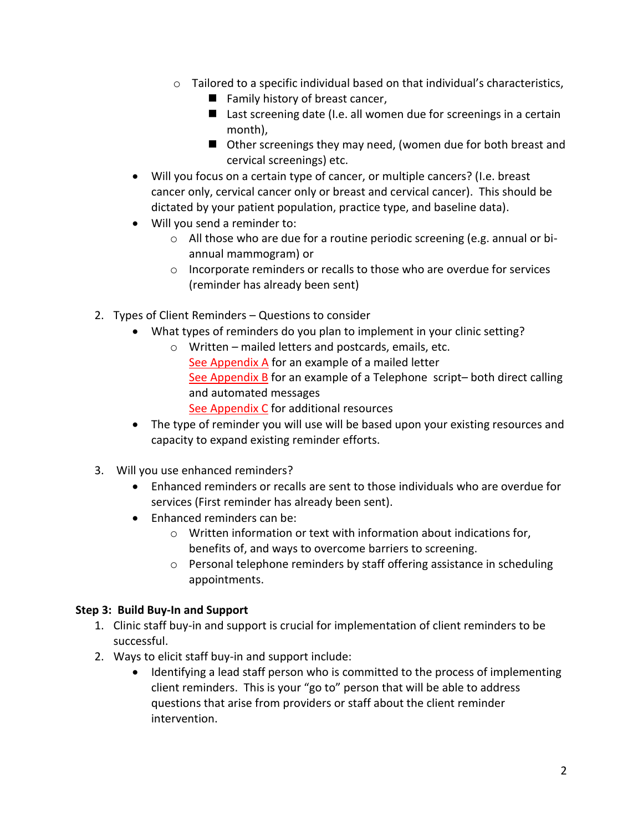- $\circ$  Tailored to a specific individual based on that individual's characteristics,
	- $\blacksquare$  Family history of breast cancer,
	- Last screening date (I.e. all women due for screenings in a certain month),
	- Other screenings they may need, (women due for both breast and cervical screenings) etc.
- Will you focus on a certain type of cancer, or multiple cancers? (I.e. breast cancer only, cervical cancer only or breast and cervical cancer). This should be dictated by your patient population, practice type, and baseline data).
- Will you send a reminder to:
	- o All those who are due for a routine periodic screening (e.g. annual or biannual mammogram) or
	- $\circ$  Incorporate reminders or recalls to those who are overdue for services (reminder has already been sent)
- 2. Types of Client Reminders Questions to consider
	- What types of reminders do you plan to implement in your clinic setting?
		- o Written mailed letters and postcards, emails, etc. See Appendix A for an example of a mailed letter See Appendix B for an example of a Telephone script– both direct calling and automated messages See Appendix C for additional resources
	- The type of reminder you will use will be based upon your existing resources and capacity to expand existing reminder efforts.
- 3. Will you use enhanced reminders?
	- Enhanced reminders or recalls are sent to those individuals who are overdue for services (First reminder has already been sent).
	- Enhanced reminders can be:
		- o Written information or text with information about indications for, benefits of, and ways to overcome barriers to screening.
		- o Personal telephone reminders by staff offering assistance in scheduling appointments.

# **Step 3: Build Buy-In and Support**

- 1. Clinic staff buy-in and support is crucial for implementation of client reminders to be successful.
- 2. Ways to elicit staff buy-in and support include:
	- Identifying a lead staff person who is committed to the process of implementing client reminders. This is your "go to" person that will be able to address questions that arise from providers or staff about the client reminder intervention.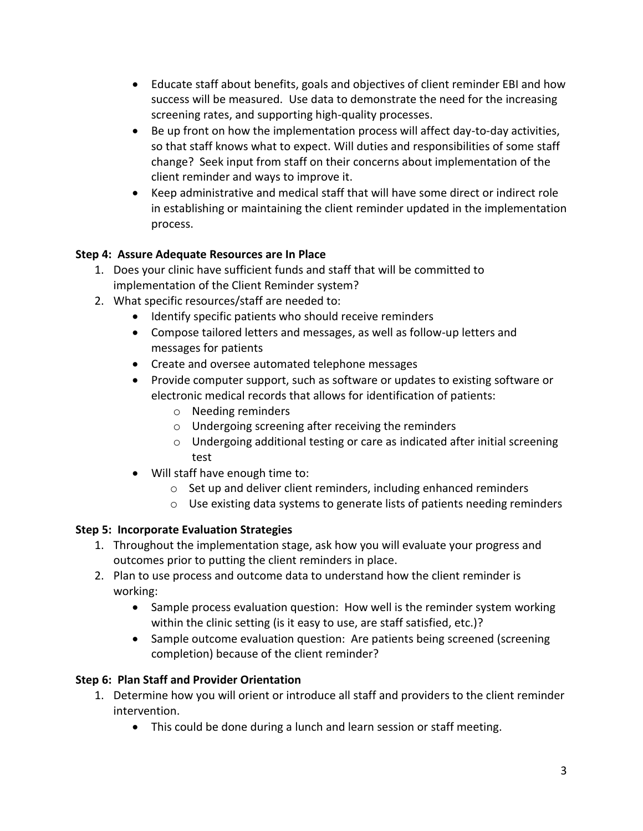- Educate staff about benefits, goals and objectives of client reminder EBI and how success will be measured. Use data to demonstrate the need for the increasing screening rates, and supporting high-quality processes.
- Be up front on how the implementation process will affect day-to-day activities, so that staff knows what to expect. Will duties and responsibilities of some staff change? Seek input from staff on their concerns about implementation of the client reminder and ways to improve it.
- Keep administrative and medical staff that will have some direct or indirect role in establishing or maintaining the client reminder updated in the implementation process.

# **Step 4: Assure Adequate Resources are In Place**

- 1. Does your clinic have sufficient funds and staff that will be committed to implementation of the Client Reminder system?
- 2. What specific resources/staff are needed to:
	- Identify specific patients who should receive reminders
	- Compose tailored letters and messages, as well as follow-up letters and messages for patients
	- Create and oversee automated telephone messages
	- Provide computer support, such as software or updates to existing software or electronic medical records that allows for identification of patients:
		- o Needing reminders
		- o Undergoing screening after receiving the reminders
		- o Undergoing additional testing or care as indicated after initial screening test
	- Will staff have enough time to:
		- o Set up and deliver client reminders, including enhanced reminders
		- o Use existing data systems to generate lists of patients needing reminders

# **Step 5: Incorporate Evaluation Strategies**

- 1. Throughout the implementation stage, ask how you will evaluate your progress and outcomes prior to putting the client reminders in place.
- 2. Plan to use process and outcome data to understand how the client reminder is working:
	- Sample process evaluation question: How well is the reminder system working within the clinic setting (is it easy to use, are staff satisfied, etc.)?
	- Sample outcome evaluation question: Are patients being screened (screening completion) because of the client reminder?

# **Step 6: Plan Staff and Provider Orientation**

- 1. Determine how you will orient or introduce all staff and providers to the client reminder intervention.
	- This could be done during a lunch and learn session or staff meeting.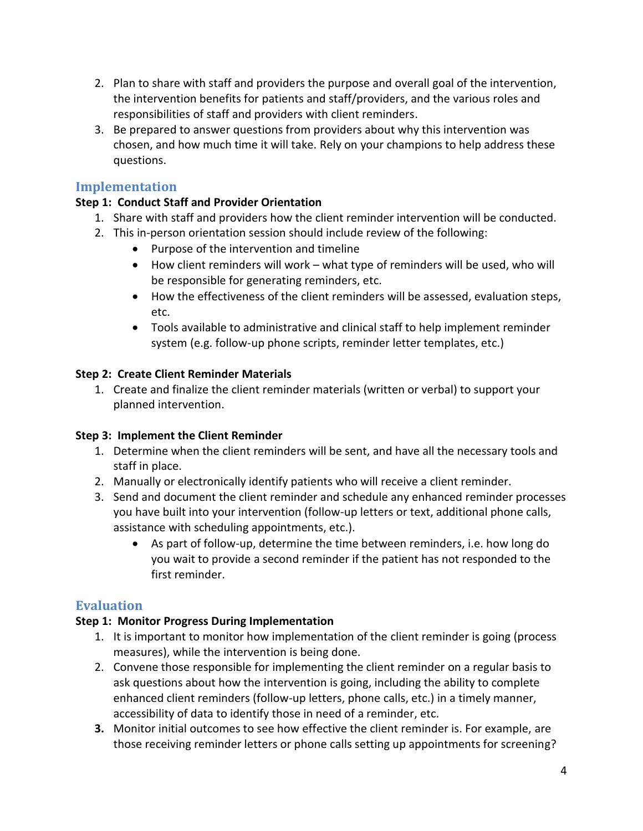- 2. Plan to share with staff and providers the purpose and overall goal of the intervention, the intervention benefits for patients and staff/providers, and the various roles and responsibilities of staff and providers with client reminders.
- 3. Be prepared to answer questions from providers about why this intervention was chosen, and how much time it will take. Rely on your champions to help address these questions.

# **Implementation**

#### **Step 1: Conduct Staff and Provider Orientation**

- 1. Share with staff and providers how the client reminder intervention will be conducted.
- 2. This in-person orientation session should include review of the following:
	- Purpose of the intervention and timeline
	- How client reminders will work what type of reminders will be used, who will be responsible for generating reminders, etc.
	- How the effectiveness of the client reminders will be assessed, evaluation steps, etc.
	- Tools available to administrative and clinical staff to help implement reminder system (e.g. follow-up phone scripts, reminder letter templates, etc.)

#### **Step 2: Create Client Reminder Materials**

1. Create and finalize the client reminder materials (written or verbal) to support your planned intervention.

#### **Step 3: Implement the Client Reminder**

- 1. Determine when the client reminders will be sent, and have all the necessary tools and staff in place.
- 2. Manually or electronically identify patients who will receive a client reminder.
- 3. Send and document the client reminder and schedule any enhanced reminder processes you have built into your intervention (follow-up letters or text, additional phone calls, assistance with scheduling appointments, etc.).
	- As part of follow-up, determine the time between reminders, i.e. how long do you wait to provide a second reminder if the patient has not responded to the first reminder.

# **Evaluation**

# **Step 1: Monitor Progress During Implementation**

- 1. It is important to monitor how implementation of the client reminder is going (process measures), while the intervention is being done.
- 2. Convene those responsible for implementing the client reminder on a regular basis to ask questions about how the intervention is going, including the ability to complete enhanced client reminders (follow-up letters, phone calls, etc.) in a timely manner, accessibility of data to identify those in need of a reminder, etc.
- **3.** Monitor initial outcomes to see how effective the client reminder is. For example, are those receiving reminder letters or phone calls setting up appointments for screening?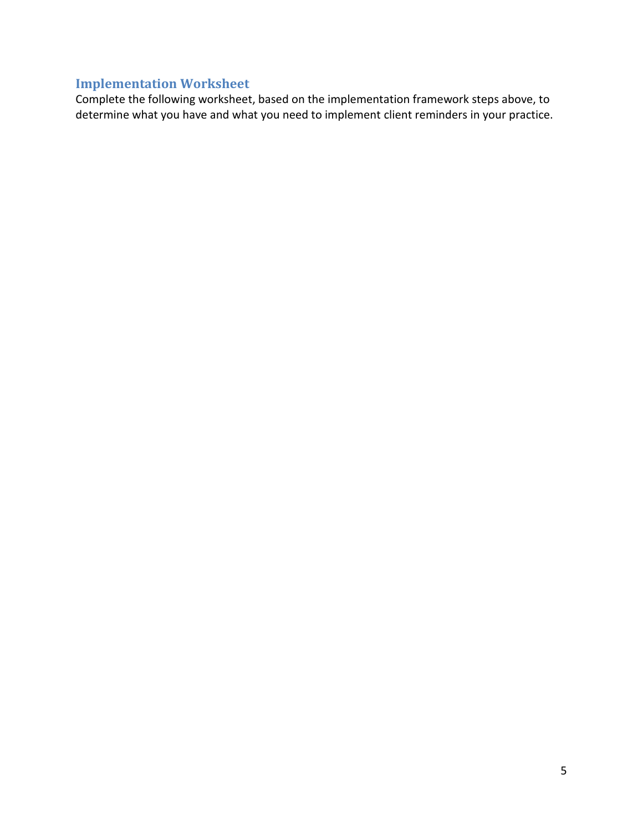# **Implementation Worksheet**

Complete the following worksheet, based on the implementation framework steps above, to determine what you have and what you need to implement client reminders in your practice.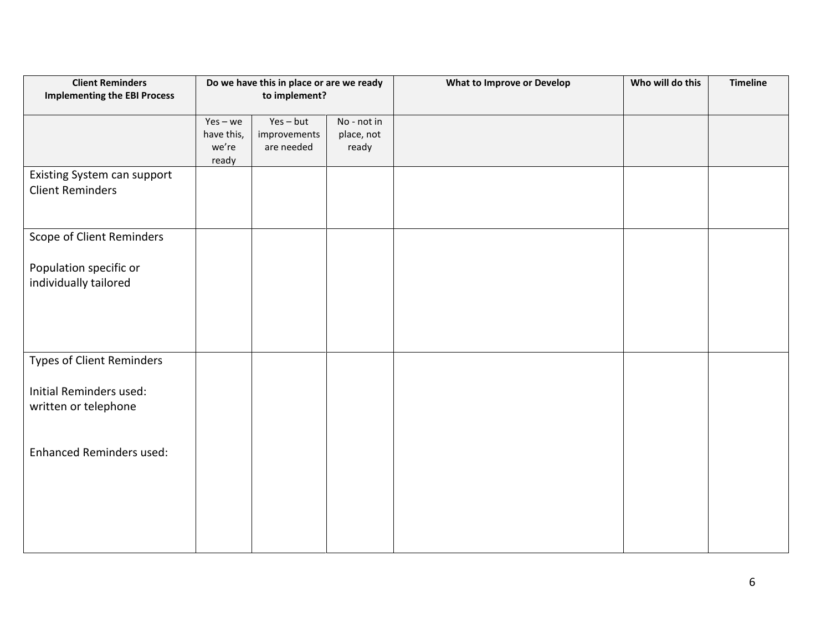| <b>Client Reminders</b><br><b>Implementing the EBI Process</b> | Do we have this in place or are we ready<br>to implement? |                                           |                                    | <b>What to Improve or Develop</b> | Who will do this | <b>Timeline</b> |
|----------------------------------------------------------------|-----------------------------------------------------------|-------------------------------------------|------------------------------------|-----------------------------------|------------------|-----------------|
|                                                                | $Yes - we$<br>have this,<br>we're<br>ready                | $Yes - but$<br>improvements<br>are needed | No - not in<br>place, not<br>ready |                                   |                  |                 |
| Existing System can support<br><b>Client Reminders</b>         |                                                           |                                           |                                    |                                   |                  |                 |
| Scope of Client Reminders                                      |                                                           |                                           |                                    |                                   |                  |                 |
| Population specific or<br>individually tailored                |                                                           |                                           |                                    |                                   |                  |                 |
| Types of Client Reminders                                      |                                                           |                                           |                                    |                                   |                  |                 |
| Initial Reminders used:<br>written or telephone                |                                                           |                                           |                                    |                                   |                  |                 |
| <b>Enhanced Reminders used:</b>                                |                                                           |                                           |                                    |                                   |                  |                 |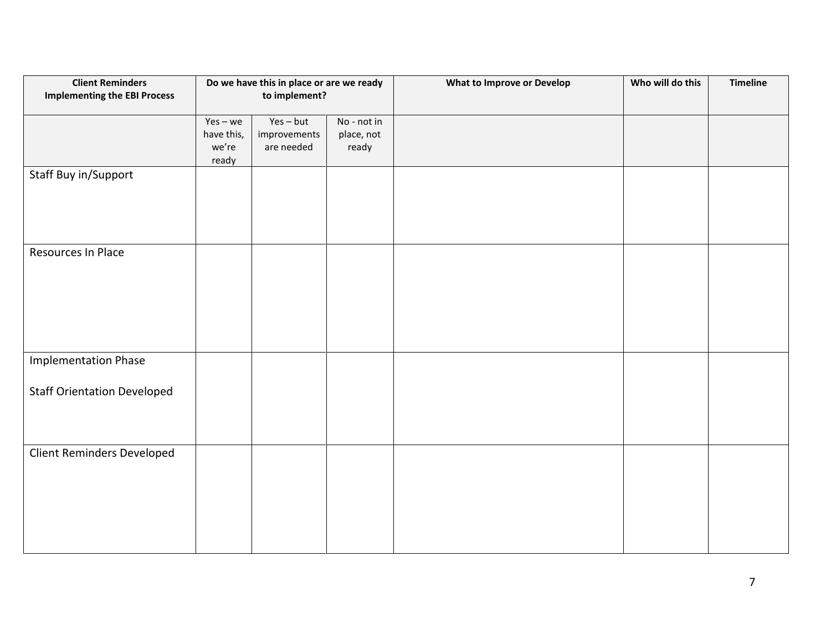| <b>Client Reminders</b>             | Do we have this in place or are we ready<br>to implement? |                             |                           | <b>What to Improve or Develop</b> | Who will do this | <b>Timeline</b> |
|-------------------------------------|-----------------------------------------------------------|-----------------------------|---------------------------|-----------------------------------|------------------|-----------------|
| <b>Implementing the EBI Process</b> |                                                           |                             |                           |                                   |                  |                 |
|                                     |                                                           |                             |                           |                                   |                  |                 |
|                                     | $Yes - we$<br>have this,                                  | $Yes - but$<br>improvements | No - not in<br>place, not |                                   |                  |                 |
|                                     | we're                                                     | are needed                  | ready                     |                                   |                  |                 |
|                                     | ready                                                     |                             |                           |                                   |                  |                 |
| Staff Buy in/Support                |                                                           |                             |                           |                                   |                  |                 |
|                                     |                                                           |                             |                           |                                   |                  |                 |
|                                     |                                                           |                             |                           |                                   |                  |                 |
|                                     |                                                           |                             |                           |                                   |                  |                 |
|                                     |                                                           |                             |                           |                                   |                  |                 |
| Resources In Place                  |                                                           |                             |                           |                                   |                  |                 |
|                                     |                                                           |                             |                           |                                   |                  |                 |
|                                     |                                                           |                             |                           |                                   |                  |                 |
|                                     |                                                           |                             |                           |                                   |                  |                 |
|                                     |                                                           |                             |                           |                                   |                  |                 |
|                                     |                                                           |                             |                           |                                   |                  |                 |
|                                     |                                                           |                             |                           |                                   |                  |                 |
|                                     |                                                           |                             |                           |                                   |                  |                 |
| <b>Implementation Phase</b>         |                                                           |                             |                           |                                   |                  |                 |
|                                     |                                                           |                             |                           |                                   |                  |                 |
| <b>Staff Orientation Developed</b>  |                                                           |                             |                           |                                   |                  |                 |
|                                     |                                                           |                             |                           |                                   |                  |                 |
|                                     |                                                           |                             |                           |                                   |                  |                 |
|                                     |                                                           |                             |                           |                                   |                  |                 |
| Client Reminders Developed          |                                                           |                             |                           |                                   |                  |                 |
|                                     |                                                           |                             |                           |                                   |                  |                 |
|                                     |                                                           |                             |                           |                                   |                  |                 |
|                                     |                                                           |                             |                           |                                   |                  |                 |
|                                     |                                                           |                             |                           |                                   |                  |                 |
|                                     |                                                           |                             |                           |                                   |                  |                 |
|                                     |                                                           |                             |                           |                                   |                  |                 |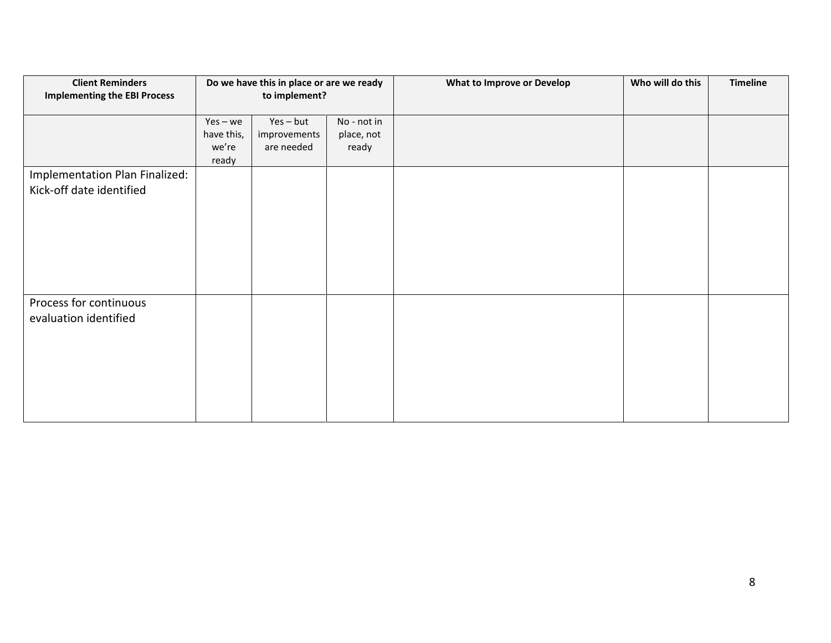| <b>Client Reminders</b><br><b>Implementing the EBI Process</b> | Do we have this in place or are we ready<br>to implement? |              |             | <b>What to Improve or Develop</b> | Who will do this | <b>Timeline</b> |
|----------------------------------------------------------------|-----------------------------------------------------------|--------------|-------------|-----------------------------------|------------------|-----------------|
|                                                                | $Yes - we$                                                | Yes-but      | No - not in |                                   |                  |                 |
|                                                                | have this,                                                | improvements | place, not  |                                   |                  |                 |
|                                                                | we're<br>ready                                            | are needed   | ready       |                                   |                  |                 |
| Implementation Plan Finalized:                                 |                                                           |              |             |                                   |                  |                 |
| Kick-off date identified                                       |                                                           |              |             |                                   |                  |                 |
|                                                                |                                                           |              |             |                                   |                  |                 |
|                                                                |                                                           |              |             |                                   |                  |                 |
|                                                                |                                                           |              |             |                                   |                  |                 |
|                                                                |                                                           |              |             |                                   |                  |                 |
|                                                                |                                                           |              |             |                                   |                  |                 |
|                                                                |                                                           |              |             |                                   |                  |                 |
| Process for continuous                                         |                                                           |              |             |                                   |                  |                 |
| evaluation identified                                          |                                                           |              |             |                                   |                  |                 |
|                                                                |                                                           |              |             |                                   |                  |                 |
|                                                                |                                                           |              |             |                                   |                  |                 |
|                                                                |                                                           |              |             |                                   |                  |                 |
|                                                                |                                                           |              |             |                                   |                  |                 |
|                                                                |                                                           |              |             |                                   |                  |                 |
|                                                                |                                                           |              |             |                                   |                  |                 |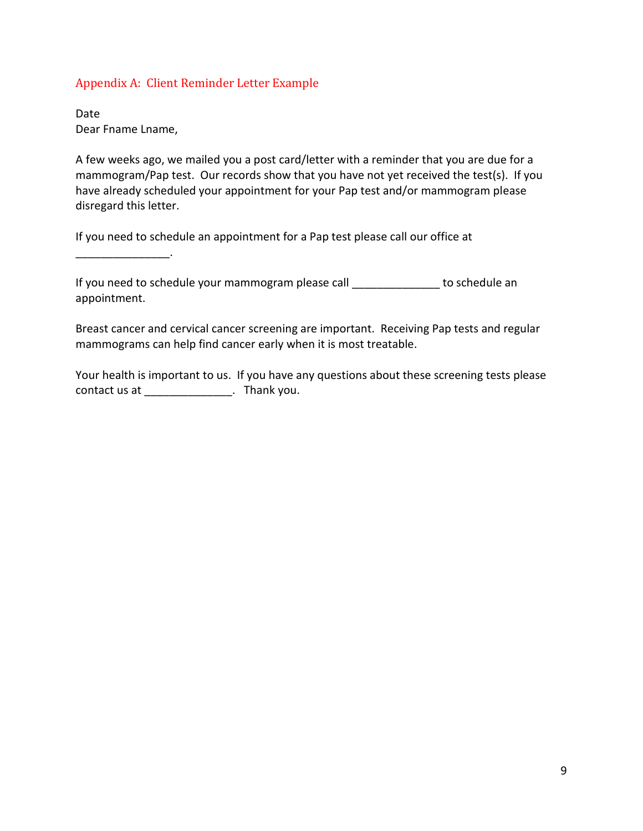#### Appendix A: Client Reminder Letter Example

Date Dear Fname Lname,

\_\_\_\_\_\_\_\_\_\_\_\_\_\_\_.

A few weeks ago, we mailed you a post card/letter with a reminder that you are due for a mammogram/Pap test. Our records show that you have not yet received the test(s). If you have already scheduled your appointment for your Pap test and/or mammogram please disregard this letter.

If you need to schedule an appointment for a Pap test please call our office at

If you need to schedule your mammogram please call example to schedule an appointment.

Breast cancer and cervical cancer screening are important. Receiving Pap tests and regular mammograms can help find cancer early when it is most treatable.

Your health is important to us. If you have any questions about these screening tests please contact us at \_\_\_\_\_\_\_\_\_\_\_\_\_\_\_\_\_. Thank you.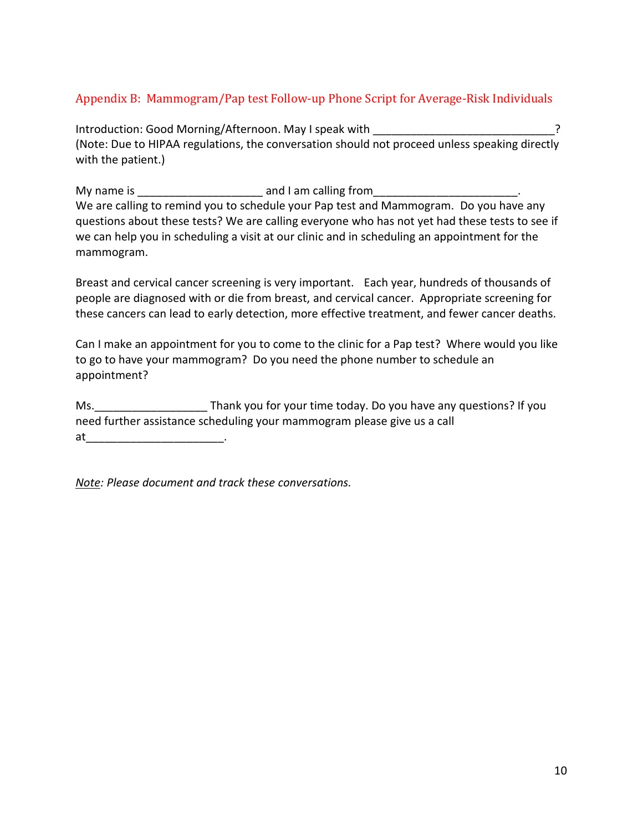# Appendix B: Mammogram/Pap test Follow-up Phone Script for Average-Risk Individuals

Introduction: Good Morning/Afternoon. May I speak with (Note: Due to HIPAA regulations, the conversation should not proceed unless speaking directly with the patient.)

My name is example and I am calling from We are calling to remind you to schedule your Pap test and Mammogram. Do you have any questions about these tests? We are calling everyone who has not yet had these tests to see if we can help you in scheduling a visit at our clinic and in scheduling an appointment for the mammogram.

Breast and cervical cancer screening is very important. Each year, hundreds of thousands of people are diagnosed with or die from breast, and cervical cancer. Appropriate screening for these cancers can lead to early detection, more effective treatment, and fewer cancer deaths.

Can I make an appointment for you to come to the clinic for a Pap test? Where would you like to go to have your mammogram? Do you need the phone number to schedule an appointment?

Ms. Thank you for your time today. Do you have any questions? If you need further assistance scheduling your mammogram please give us a call at \_\_\_\_\_\_\_\_\_\_\_\_\_\_\_\_\_\_\_\_\_\_\_\_\_\_\_.

*Note: Please document and track these conversations.*